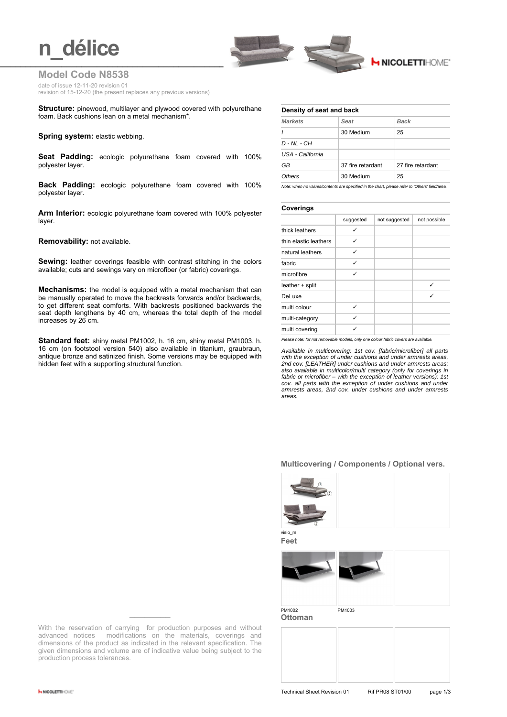# **n** délice



## **Model Code N8538**

date of issue 12-11-20 revision 01

revision of 15-12-20 (the present replaces any previous versions)

**Structure:** pinewood, multilayer and plywood covered with polyurethane foam. Back cushions lean on a metal mechanism\*.

**Spring system: elastic webbing.** 

**Seat Padding:** ecologic polyurethane foam covered with 100% polyester layer.

**Back Padding:** ecologic polyurethane foam covered with 100% polyester layer.

**Arm Interior:** ecologic polyurethane foam covered with 100% polyester layer.

**Removability:** not available.

**Sewing:** leather coverings feasible with contrast stitching in the colors available; cuts and sewings vary on microfiber (or fabric) coverings.

**Mechanisms:** the model is equipped with a metal mechanism that can be manually operated to move the backrests forwards and/or backwards, to get different seat comforts. With backrests positioned backwards the seat depth lengthens by 40 cm, whereas the total depth of the model increases by 26 cm.

**Standard feet:** shiny metal PM1002, h. 16 cm, shiny metal PM1003, h. 16 cm (on footstool version 540) also available in titanium, graubraun, antique bronze and satinized finish. Some versions may be equipped with hidden feet with a supporting structural function.

### **Density of seat and back**

| <b>Markets</b>   | Seat              | <b>Back</b>       |
|------------------|-------------------|-------------------|
| $\prime$         | 30 Medium         | 25                |
| $D - NL - CH$    |                   |                   |
| USA - California |                   |                   |
| GB               | 37 fire retardant | 27 fire retardant |
| Others           | 30 Medium         | 25                |

*Note: when no values/contents are specified in the chart, please refer to 'Others' field/area.*

## **Coverings**

|                       | suggested | not suggested | not possible |
|-----------------------|-----------|---------------|--------------|
| thick leathers        | ✓         |               |              |
| thin elastic leathers | ✓         |               |              |
| natural leathers      | ✓         |               |              |
| fabric                | ✓         |               |              |
| microfibre            | ✓         |               |              |
| leather + split       |           |               | ✓            |
| DeLuxe                |           |               | ✓            |
| multi colour          | ✓         |               |              |
| multi-category        | ✓         |               |              |
| multi covering        |           |               |              |

*Please note: for not removable models, only one colour fabric covers are available.*

*Available in multicovering: 1st cov. [fabric/microfiber] all parts with the exception of under cushions and under armrests areas, 2nd cov. [LEATHER] under cushions and under armrests areas; also available in multicolor/multi category (only for coverings in fabric or microfiber – with the exception of leather versions): 1st cov. all parts with the exception of under cushions and under armrests areas, 2nd cov. under cushions and under armrests areas.*

## **Multicovering / Components / Optional vers.**



**Feet**



With the reservation of carrying for production purposes and without advanced notices modifications on the materials, coverings and dimensions of the product as indicated in the relevant specification. The given dimensions and volume are of indicative value being subject to the production process tolerances.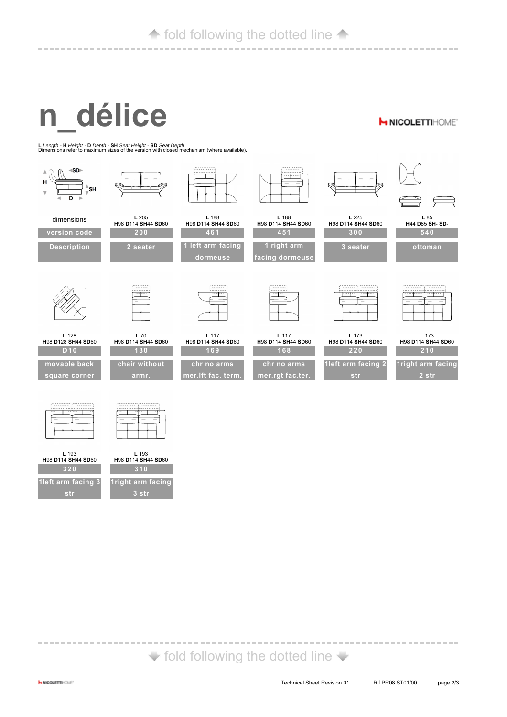# **fold following the dotted line 4**

#### ---------------------------------------------------------

# **n\_délice**

**H NICOLETTIHOME'** 

**<sup>L</sup>***Length -* **<sup>H</sup>***Height -* **<sup>D</sup>***Depth -* **SH** *Seat Height -* **SD** *Seat Depth* Dimensions refer to maximum sizes of the version with closed mechanism (where available).



| L 193<br>H98 D114 SH44 SD60 | Н9.  |
|-----------------------------|------|
| 320                         |      |
| 1 left arm facing 3         | 1ric |
| str                         |      |

**L** 193 **H**98 **D**114 **SH**44 **SD**60 **310**

| 1 right arm facing |
|--------------------|
| 3 str              |

# $\blacktriangleright$  fold following the dotted line  $\blacktriangleright$